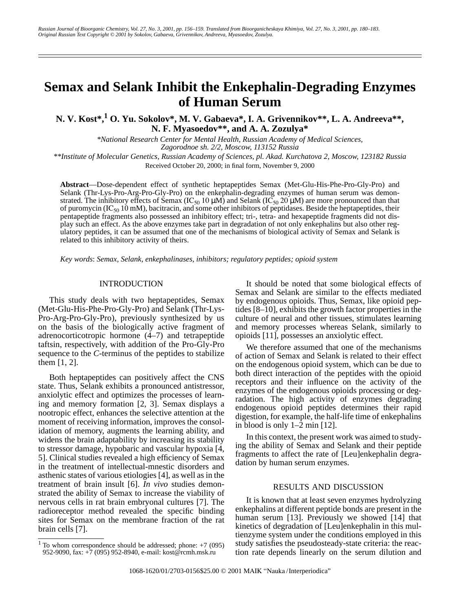# **Semax and Selank Inhibit the Enkephalin-Degrading Enzymes of Human Serum**

**N. V. Kost\*,1 O. Yu. Sokolov\*, M. V. Gabaeva\*, I. A. Grivennikov\*\*, L. A. Andreeva\*\*, N. F. Myasoedov\*\*, and A. A. Zozulya\***

> *\*National Research Center for Mental Health, Russian Academy of Medical Sciences, Zagorodnoe sh. 2/2, Moscow, 113152 Russia*

*\*\*Institute of Molecular Genetics, Russian Academy of Sciences, pl. Akad. Kurchatova 2, Moscow, 123182 Russia* Received October 20, 2000; in final form, November 9, 2000

**Abstract**—Dose-dependent effect of synthetic heptapeptides Semax (Met-Glu-His-Phe-Pro-Gly-Pro) and Selank (Thr-Lys-Pro-Arg-Pro-Gly-Pro) on the enkephalin-degrading enzymes of human serum was demonstrated. The inhibitory effects of Semax (IC<sub>50</sub> 10  $\mu$ M) and Selank (IC<sub>50</sub> 20  $\mu$ M) are more pronounced than that of puromycin  $(IC_{50} 10 \text{ mM})$ , bacitracin, and some other inhibitors of peptidases. Beside the heptapeptides, their pentapeptide fragments also possessed an inhibitory effect; tri-, tetra- and hexapeptide fragments did not display such an effect. As the above enzymes take part in degradation of not only enkephalins but also other regulatory peptides, it can be assumed that one of the mechanisms of biological activity of Semax and Selank is related to this inhibitory activity of theirs.

*Key words*: *Semax, Selank, enkephalinases, inhibitors; regulatory peptides; opioid system*

## **INTRODUCTION**

This study deals with two heptapeptides, Semax (Met-Glu-His-Phe-Pro-Gly-Pro) and Selank (Thr-Lys-Pro-Arg-Pro-Gly-Pro), previously synthesized by us on the basis of the biologically active fragment of adrenocorticotropic hormone (4–7) and tetrapeptide taftsin, respectively, with addition of the Pro-Gly-Pro sequence to the *C*-terminus of the peptides to stabilize them [1, 2].

Both heptapeptides can positively affect the CNS state. Thus, Selank exhibits a pronounced antistressor, anxiolytic effect and optimizes the processes of learning and memory formation [2, 3]. Semax displays a nootropic effect, enhances the selective attention at the moment of receiving information, improves the consolidation of memory, augments the learning ability, and widens the brain adaptability by increasing its stability to stressor damage, hypobaric and vascular hypoxia [4, 5]. Clinical studies revealed a high efficiency of Semax in the treatment of intellectual-mnestic disorders and asthenic states of various etiologies [4], as well as in the treatment of brain insult [6]. *In vivo* studies demonstrated the ability of Semax to increase the viability of nervous cells in rat brain embryonal cultures [7]. The radioreceptor method revealed the specific binding sites for Semax on the membrane fraction of the rat brain cells [7].

It should be noted that some biological effects of Semax and Selank are similar to the effects mediated by endogenous opioids. Thus, Semax, like opioid peptides [8–10], exhibits the growth factor properties in the culture of neural and other tissues, stimulates learning and memory processes whereas Selank, similarly to opioids [11], possesses an anxiolytic effect.

We therefore assumed that one of the mechanisms of action of Semax and Selank is related to their effect on the endogenous opioid system, which can be due to both direct interaction of the peptides with the opioid receptors and their influence on the activity of the enzymes of the endogenous opioids processing or degradation. The high activity of enzymes degrading endogenous opioid peptides determines their rapid digestion, for example, the half-life time of enkephalins in blood is only 1–2 min [12].

In this context, the present work was aimed to studying the ability of Semax and Selank and their peptide fragments to affect the rate of [Leu]enkephalin degradation by human serum enzymes.

#### RESULTS AND DISCUSSION

It is known that at least seven enzymes hydrolyzing enkephalins at different peptide bonds are present in the human serum [13]. Previously we showed [14] that kinetics of degradation of [Leu]enkephalin in this multienzyme system under the conditions employed in this study satisfies the pseudosteady-state criteria: the reaction rate depends linearly on the serum dilution and

 $1$  To whom correspondence should be addressed; phone:  $+7$  (095) 952-9090, fax: +7 (095) 952-8940, e-mail: kost@rcmh.msk.ru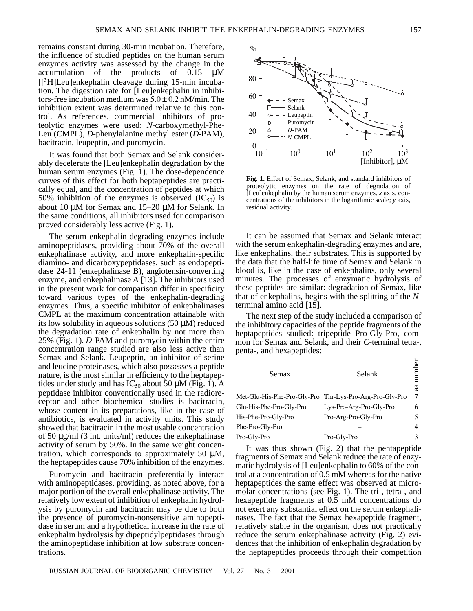remains constant during 30-min incubation. Therefore, the influence of studied peptides on the human serum enzymes activity was assessed by the change in the accumulation of the products of 0.15 µM [[<sup>3</sup>H]Leu]enkephalin cleavage during 15-min incubation. The digestion rate for [Leu]enkephalin in inhibitors-free incubation medium was  $5.0 \pm 0.2$  nM/min. The inhibition extent was determined relative to this control. As references, commercial inhibitors of proteolytic enzymes were used: *N*-carboxymethyl-Phe-Leu (CMPL), *D*-phenylalanine methyl ester (*D*-PAM), bacitracin, leupeptin, and puromycin.

It was found that both Semax and Selank considerably decelerate the [Leu]enkephalin degradation by the human serum enzymes (Fig. 1). The dose-dependence curves of this effect for both heptapeptides are practically equal, and the concentration of peptides at which 50% inhibition of the enzymes is observed  $(IC_{50})$  is about 10 µM for Semax and 15–20 µM for Selank. In the same conditions, all inhibitors used for comparison proved considerably less active (Fig. 1).

The serum enkephalin-degrading enzymes include aminopeptidases, providing about 70% of the overall enkephalinase activity, and more enkephalin-specific diamino- and dicarboxypeptidases, such as endopeptidase 24-11 (enkephalinase B), angiotensin-converting enzyme, and enkephalinase A [13]. The inhibitors used in the present work for comparison differ in specificity toward various types of the enkephalin-degrading enzymes. Thus, a specific inhibitor of enkephalinases CMPL at the maximum concentration attainable with its low solubility in aqueous solutions (50 µM) reduced the degradation rate of enkephalin by not more than 25% (Fig. 1). *D*-PAM and puromycin within the entire concentration range studied are also less active than Semax and Selank. Leupeptin, an inhibitor of serine and leucine proteinases, which also possesses a peptide nature, is the most similar in efficiency to the heptapeptides under study and has  $IC_{50}$  about 50  $\mu$ M (Fig. 1). A peptidase inhibitor conventionally used in the radioreceptor and other biochemical studies is bacitracin, whose content in its preparations, like in the case of antibiotics, is evaluated in activity units. This study showed that bacitracin in the most usable concentration of 50 µg/ml (3 int. units/ml) reduces the enkephalinase activity of serum by 50%. In the same weight concentration, which corresponds to approximately 50  $\mu$ M, the heptapeptides cause 70% inhibition of the enzymes.

Puromycin and bacitracin preferentially interact with aminopeptidases, providing, as noted above, for a major portion of the overall enkephalinase activity. The relatively low extent of inhibition of enkephalin hydrolysis by puromycin and bacitracin may be due to both the presence of puromycin-nonsensitive aminopeptidase in serum and a hypothetical increase in the rate of enkephalin hydrolysis by dipeptidylpeptidases through the aminopeptidase inhibition at low substrate concentrations.



**Fig. 1.** Effect of Semax, Selank, and standard inhibitors of proteolytic enzymes on the rate of degradation of [Leu]enkephalin by the human serum enzymes. *x* axis, concentrations of the inhibitors in the logarithmic scale; *y* axis, residual activity.

It can be assumed that Semax and Selank interact with the serum enkephalin-degrading enzymes and are, like enkephalins, their substrates. This is supported by the data that the half-life time of Semax and Selank in blood is, like in the case of enkephalins, only several minutes. The processes of enzymatic hydrolysis of these peptides are similar: degradation of Semax, like that of enkephalins, begins with the splitting of the *N*terminal amino acid [15].

The next step of the study included a comparison of the inhibitory capacities of the peptide fragments of the heptapeptides studied: tripeptide Pro-Gly-Pro, common for Semax and Selank, and their *C*-terminal tetra-, penta-, and hexapeptides:

| Semax                   | Selank                                                  | number<br>aa   |
|-------------------------|---------------------------------------------------------|----------------|
|                         | Met-Glu-His-Phe-Pro-Gly-Pro Thr-Lys-Pro-Arg-Pro-Gly-Pro | 7              |
| Glu-His-Phe-Pro-Gly-Pro | Lys-Pro-Arg-Pro-Gly-Pro                                 | 6              |
| His-Phe-Pro-Gly-Pro     | Pro-Arg-Pro-Gly-Pro                                     | 5              |
| Phe-Pro-Gly-Pro         |                                                         | $\overline{4}$ |
| Pro-Gly-Pro             | Pro-Gly-Pro                                             | 3              |

It was thus shown (Fig. 2) that the pentapeptide fragments of Semax and Selank reduce the rate of enzymatic hydrolysis of [Leu]enkephalin to 60% of the control at a concentration of 0.5 mM whereas for the native heptapeptides the same effect was observed at micromolar concentrations (see Fig. 1). The tri-, tetra-, and hexapeptide fragments at 0.5 mM concentrations do not exert any substantial effect on the serum enkephalinases. The fact that the Semax hexapeptide fragment, relatively stable in the organism, does not practically reduce the serum enkephalinase activity (Fig. 2) evidences that the inhibition of enkephalin degradation by the heptapeptides proceeds through their competition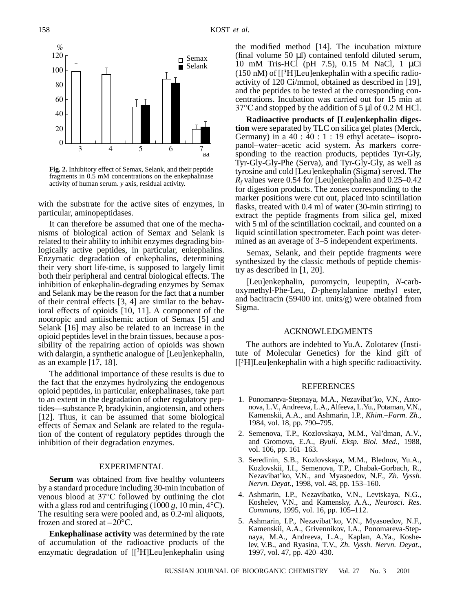

**Fig. 2.** Inhibitory effect of Semax, Selank, and their peptide fragments in 0.5 mM concentrations on the enkephalinase activity of human serum. *y* axis, residual activity.

with the substrate for the active sites of enzymes, in particular, aminopeptidases.

It can therefore be assumed that one of the mechanisms of biological action of Semax and Selank is related to their ability to inhibit enzymes degrading biologically active peptides, in particular, enkephalins. Enzymatic degradation of enkephalins, determining their very short life-time, is supposed to largely limit both their peripheral and central biological effects. The inhibition of enkephalin-degrading enzymes by Semax and Selank may be the reason for the fact that a number of their central effects [3, 4] are similar to the behavioral effects of opioids [10, 11]. A component of the nootropic and antiischemic action of Semax [5] and Selank [16] may also be related to an increase in the opioid peptides level in the brain tissues, because a possibility of the repairing action of opioids was shown with dalargin, a synthetic analogue of [Leu]enkephalin, as an example [17, 18].

The additional importance of these results is due to the fact that the enzymes hydrolyzing the endogenous opioid peptides, in particular, enkephalinases, take part to an extent in the degradation of other regulatory peptides—substance P, bradykinin, angiotensin, and others [12]. Thus, it can be assumed that some biological effects of Semax and Selank are related to the regulation of the content of regulatory peptides through the inhibition of their degradation enzymes.

## EXPERIMENTAL

**Serum** was obtained from five healthy volunteers by a standard procedure including 30-min incubation of venous blood at  $37^{\circ}$ C followed by outlining the clot with a glass rod and centrifuging  $(1000 g, 10 min, 4°C)$ . The resulting sera were pooled and, as 0.2-ml aliquots, frozen and stored at  $-20^{\circ}$ C.

**Enkephalinase activity** was determined by the rate of accumulation of the radioactive products of the enzymatic degradation of [[<sup>3</sup>H]Leu]enkephalin using

the modified method [14]. The incubation mixture (final volume  $50 \mu l$ ) contained tenfold diluted serum, 10 mM Tris-HCl (pH 7.5), 0.15 M NaCl, 1 µCi  $(150 \text{ nM})$  of  $[[^3H]$ Leu]enkephalin with a specific radioactivity of 120 Ci/mmol, obtained as described in [19], and the peptides to be tested at the corresponding concentrations. Incubation was carried out for 15 min at  $37^{\circ}$ C and stopped by the addition of 5 µl of 0.2 M HCl.

**Radioactive products of [Leu]enkephalin digestion** were separated by TLC on silica gel plates (Merck, Germany) in a  $40:40:1:19$  ethyl acetate– isopropanol–water–acetic acid system. As markers corresponding to the reaction products, peptides Tyr-Gly, Tyr-Gly-Gly-Phe (Serva), and Tyr-Gly-Gly, as well as tyrosine and cold [Leu]enkephalin (Sigma) served. The  $R_f$  values were 0.54 for [Leu]enkephalin and 0.25–0.42 for digestion products. The zones corresponding to the marker positions were cut out, placed into scintillation flasks, treated with 0.4 ml of water (30-min stirring) to extract the peptide fragments from silica gel, mixed with 5 ml of the scintillation cocktail, and counted on a liquid scintillation spectrometer. Each point was determined as an average of 3–5 independent experiments.

Semax, Selank, and their peptide fragments were synthesized by the classic methods of peptide chemistry as described in [1, 20].

[Leu]enkephalin, puromycin, leupeptin, *N-*carboxymethyl-Phe-Leu, *D*-phenylalanine methyl ester, and bacitracin (59400 int. units/g) were obtained from Sigma.

## ACKNOWLEDGMENTS

The authors are indebted to Yu.A. Zolotarev (Institute of Molecular Genetics) for the kind gift of [[<sup>3</sup>H]Leu]enkephalin with a high specific radioactivity.

## REFERENCES

- 1. Ponomareva-Stepnaya, M.A., Nezavibat'ko, V.N., Antonova, L.V., Andreeva, L.A., Alfeeva, L.Yu., Potaman, V.N., Kamenskii, A.A., and Ashmarin, I.P., *Khim.–Farm. Zh.*, 1984, vol. 18, pp. 790–795.
- 2. Semenova, T.P., Kozlovskaya, M.M., Val'dman, A.V., and Gromova, E.A., *Byull. Eksp. Biol. Med.*, 1988, vol. 106, pp. 161–163.
- 3. Seredinin, S.B., Kozlovskaya, M.M., Blednov, Yu.A., Kozlovskii, I.I., Semenova, T.P., Chabak-Gorbach, R., Nezavibat'ko, V.N., and Myasoedov, N.F., *Zh. Vyssh. Nervn. Deyat.*, 1998, vol. 48, pp. 153–160.
- 4. Ashmarin, I.P., Nezavibatko, V.N., Levtskaya, N.G., Koshelev, V.N., and Kamensky, A.A., *Neurosci. Res. Communs*, 1995, vol. 16, pp. 105–112.
- 5. Ashmarin, I.P., Nezavibat'ko, V.N., Myasoedov, N.F., Kamenskii, A.A., Grivennikov, I.A., Ponomareva-Stepnaya, M.A., Andreeva, L.A., Kaplan, A.Ya., Koshelev, V.B., and Ryasina, T.V., *Zh. Vyssh. Nervn. Deyat.*, 1997, vol. 47, pp. 420–430.